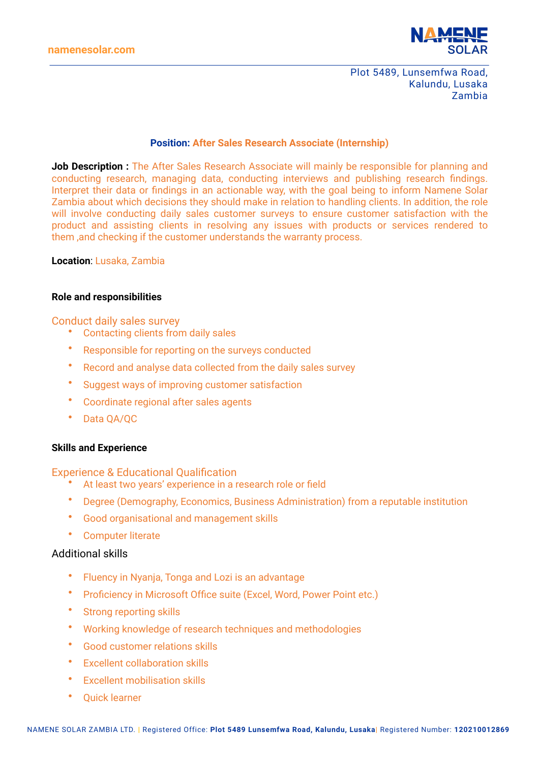**namenesolar.com**



Plot 5489, Lunsemfwa Road, Kalundu, Lusaka Zambia

# **Position: After Sales Research Associate (Internship)**

**Job Description :** The After Sales Research Associate will mainly be responsible for planning and conducting research, managing data, conducting interviews and publishing research findings. Interpret their data or findings in an actionable way, with the goal being to inform Namene Solar Zambia about which decisions they should make in relation to handling clients. In addition, the role will involve conducting daily sales customer surveys to ensure customer satisfaction with the product and assisting clients in resolving any issues with products or services rendered to them ,and checking if the customer understands the warranty process.

### **Location**: Lusaka, Zambia

### **Role and responsibilities**

## Conduct daily sales survey

- Contacting clients from daily sales
- Responsible for reporting on the surveys conducted
- Record and analyse data collected from the daily sales survey
- Suggest ways of improving customer satisfaction
- Coordinate regional after sales agents
- Data QA/QC

### **Skills and Experience**

### Experience & Educational Qualification

- At least two years' experience in a research role or field
- Degree (Demography, Economics, Business Administration) from a reputable institution
- Good organisational and management skills
- Computer literate

# Additional skills

- Fluency in Nyanja, Tonga and Lozi is an advantage
- Proficiency in Microsoft Office suite (Excel, Word, Power Point etc.)
- Strong reporting skills
- Working knowledge of research techniques and methodologies
- Good customer relations skills
- Excellent collaboration skills
- Excellent mobilisation skills
- Quick learner